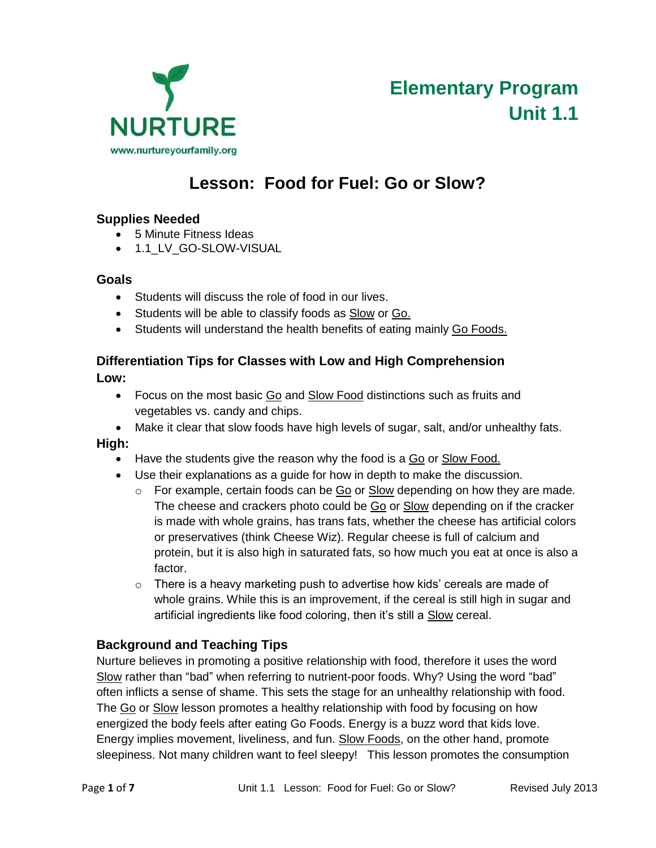

# **Lesson: Food for Fuel: Go or Slow?**

# **Supplies Needed**

- 5 Minute Fitness Ideas
- $-$  1.1 LV GO-SLOW-VISUAL

#### **Goals**

- Students will discuss the role of food in our lives.
- Students will be able to classify foods as **Slow or Go.**
- Students will understand the health benefits of eating mainly Go Foods.

# **Differentiation Tips for Classes with Low and High Comprehension**

**Low:**

- Focus on the most basic Go and Slow Food distinctions such as fruits and vegetables vs. candy and chips.
- Make it clear that slow foods have high levels of sugar, salt, and/or unhealthy fats.

#### **High:**

- Have the students give the reason why the food is a Go or Slow Food.
- Use their explanations as a guide for how in depth to make the discussion.
	- $\circ$  For example, certain foods can be Go or Slow depending on how they are made. The cheese and crackers photo could be Go or Slow depending on if the cracker is made with whole grains, has trans fats, whether the cheese has artificial colors or preservatives (think Cheese Wiz). Regular cheese is full of calcium and protein, but it is also high in saturated fats, so how much you eat at once is also a factor.
	- $\circ$  There is a heavy marketing push to advertise how kids' cereals are made of whole grains. While this is an improvement, if the cereal is still high in sugar and artificial ingredients like food coloring, then it's still a Slow cereal.

# **Background and Teaching Tips**

Nurture believes in promoting a positive relationship with food, therefore it uses the word Slow rather than "bad" when referring to nutrient-poor foods. Why? Using the word "bad" often inflicts a sense of shame. This sets the stage for an unhealthy relationship with food. The Go or Slow lesson promotes a healthy relationship with food by focusing on how energized the body feels after eating Go Foods. Energy is a buzz word that kids love. Energy implies movement, liveliness, and fun. Slow Foods, on the other hand, promote sleepiness. Not many children want to feel sleepy! This lesson promotes the consumption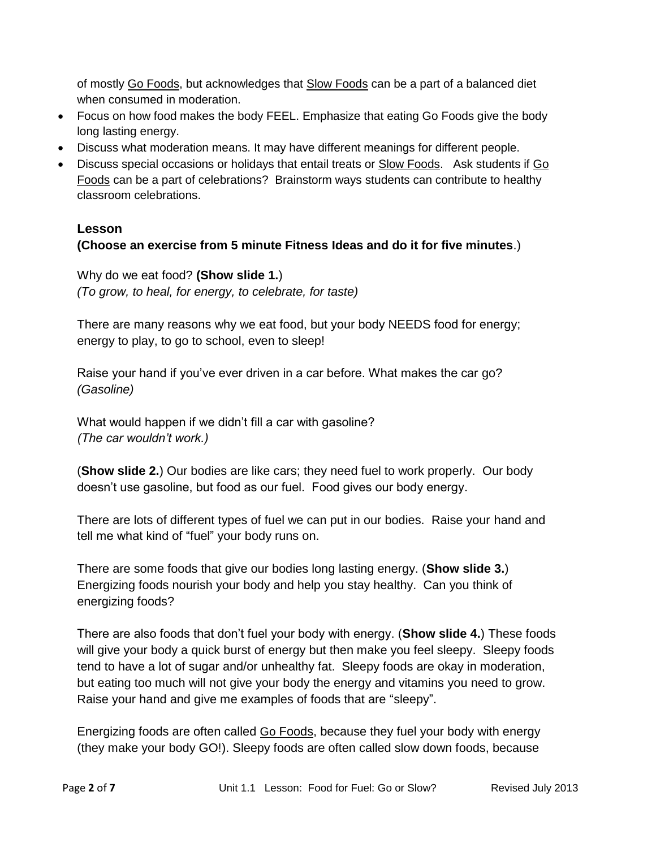of mostly Go Foods, but acknowledges that **Slow Foods** can be a part of a balanced diet when consumed in moderation.

- Focus on how food makes the body FEEL. Emphasize that eating Go Foods give the body long lasting energy.
- Discuss what moderation means. It may have different meanings for different people.
- Discuss special occasions or holidays that entail treats or Slow Foods. Ask students if Go Foods can be a part of celebrations? Brainstorm ways students can contribute to healthy classroom celebrations.

# **Lesson**

# **(Choose an exercise from 5 minute Fitness Ideas and do it for five minutes**.)

Why do we eat food? **(Show slide 1.**) *(To grow, to heal, for energy, to celebrate, for taste)*

There are many reasons why we eat food, but your body NEEDS food for energy; energy to play, to go to school, even to sleep!

Raise your hand if you've ever driven in a car before. What makes the car go? *(Gasoline)*

What would happen if we didn't fill a car with gasoline? *(The car wouldn't work.)*

(**Show slide 2.**) Our bodies are like cars; they need fuel to work properly. Our body doesn't use gasoline, but food as our fuel. Food gives our body energy.

There are lots of different types of fuel we can put in our bodies. Raise your hand and tell me what kind of "fuel" your body runs on.

There are some foods that give our bodies long lasting energy. (**Show slide 3.**) Energizing foods nourish your body and help you stay healthy. Can you think of energizing foods?

There are also foods that don't fuel your body with energy. (**Show slide 4.**) These foods will give your body a quick burst of energy but then make you feel sleepy. Sleepy foods tend to have a lot of sugar and/or unhealthy fat. Sleepy foods are okay in moderation, but eating too much will not give your body the energy and vitamins you need to grow. Raise your hand and give me examples of foods that are "sleepy".

Energizing foods are often called Go Foods, because they fuel your body with energy (they make your body GO!). Sleepy foods are often called slow down foods, because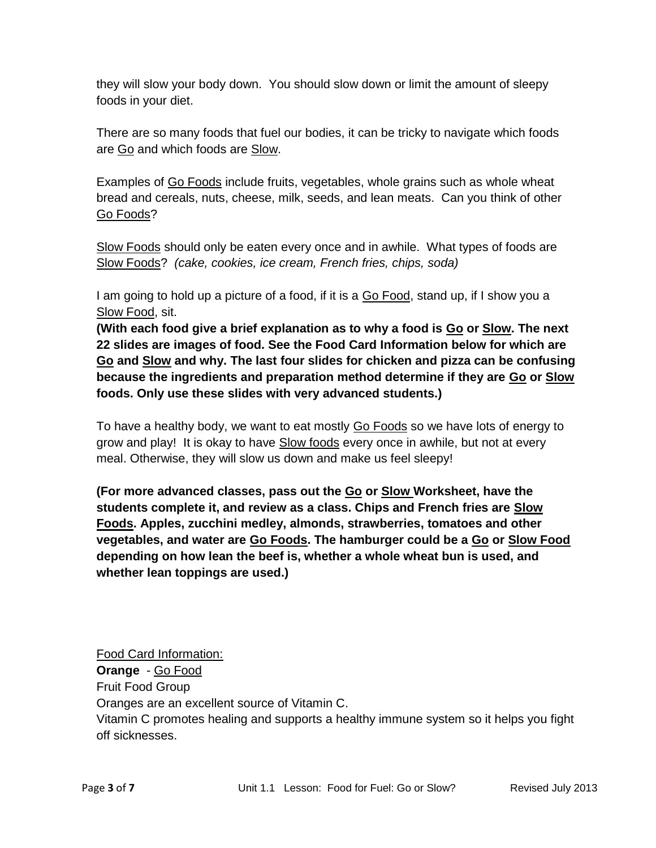they will slow your body down. You should slow down or limit the amount of sleepy foods in your diet.

There are so many foods that fuel our bodies, it can be tricky to navigate which foods are Go and which foods are Slow.

Examples of Go Foods include fruits, vegetables, whole grains such as whole wheat bread and cereals, nuts, cheese, milk, seeds, and lean meats. Can you think of other Go Foods?

Slow Foods should only be eaten every once and in awhile. What types of foods are Slow Foods? *(cake, cookies, ice cream, French fries, chips, soda)*

I am going to hold up a picture of a food, if it is a Go Food, stand up, if I show you a Slow Food, sit.

**(With each food give a brief explanation as to why a food is Go or Slow. The next 22 slides are images of food. See the Food Card Information below for which are Go and Slow and why. The last four slides for chicken and pizza can be confusing because the ingredients and preparation method determine if they are Go or Slow foods. Only use these slides with very advanced students.)**

To have a healthy body, we want to eat mostly Go Foods so we have lots of energy to grow and play! It is okay to have Slow foods every once in awhile, but not at every meal. Otherwise, they will slow us down and make us feel sleepy!

**(For more advanced classes, pass out the Go or Slow Worksheet, have the students complete it, and review as a class. Chips and French fries are Slow Foods. Apples, zucchini medley, almonds, strawberries, tomatoes and other vegetables, and water are Go Foods. The hamburger could be a Go or Slow Food depending on how lean the beef is, whether a whole wheat bun is used, and whether lean toppings are used.)**

Food Card Information: **Orange** - Go Food Fruit Food Group Oranges are an excellent source of Vitamin C. Vitamin C promotes healing and supports a healthy immune system so it helps you fight off sicknesses.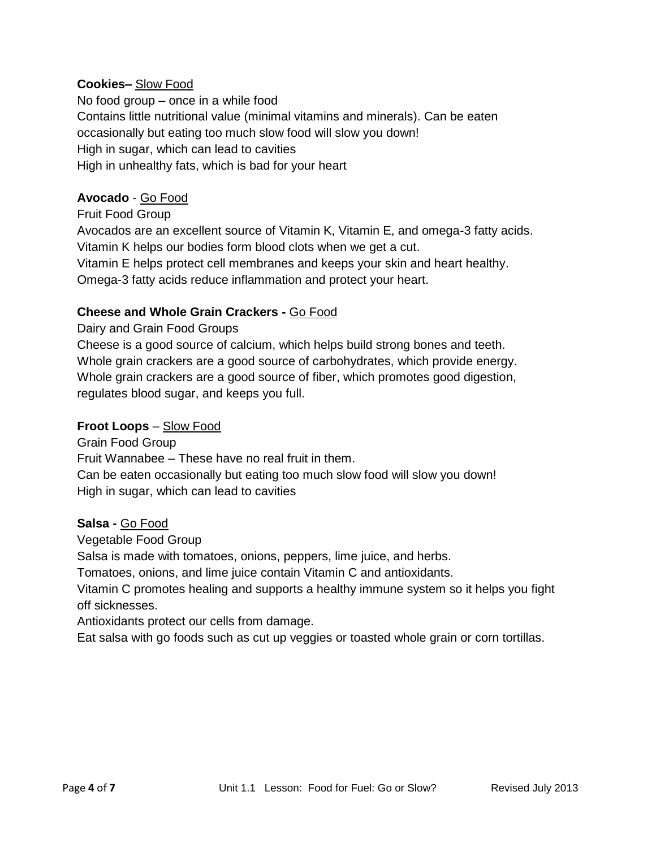## **Cookies–** Slow Food

No food group – once in a while food Contains little nutritional value (minimal vitamins and minerals). Can be eaten occasionally but eating too much slow food will slow you down! High in sugar, which can lead to cavities High in unhealthy fats, which is bad for your heart

#### **Avocado** - Go Food

Fruit Food Group Avocados are an excellent source of Vitamin K, Vitamin E, and omega-3 fatty acids. Vitamin K helps our bodies form blood clots when we get a cut. Vitamin E helps protect cell membranes and keeps your skin and heart healthy. Omega-3 fatty acids reduce inflammation and protect your heart.

#### **Cheese and Whole Grain Crackers -** Go Food

Dairy and Grain Food Groups

Cheese is a good source of calcium, which helps build strong bones and teeth. Whole grain crackers are a good source of carbohydrates, which provide energy. Whole grain crackers are a good source of fiber, which promotes good digestion, regulates blood sugar, and keeps you full.

#### **Froot Loops** – Slow Food

Grain Food Group Fruit Wannabee – These have no real fruit in them. Can be eaten occasionally but eating too much slow food will slow you down! High in sugar, which can lead to cavities

#### **Salsa -** Go Food

Vegetable Food Group

Salsa is made with tomatoes, onions, peppers, lime juice, and herbs.

Tomatoes, onions, and lime juice contain Vitamin C and antioxidants.

Vitamin C promotes healing and supports a healthy immune system so it helps you fight off sicknesses.

Antioxidants protect our cells from damage.

Eat salsa with go foods such as cut up veggies or toasted whole grain or corn tortillas.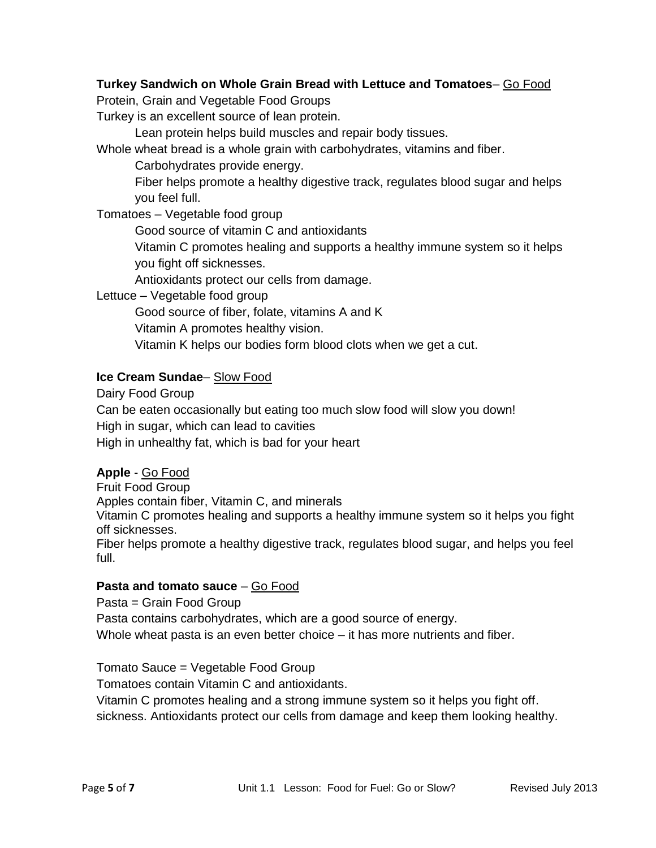# **Turkey Sandwich on Whole Grain Bread with Lettuce and Tomatoes**– Go Food

Protein, Grain and Vegetable Food Groups

Turkey is an excellent source of lean protein.

Lean protein helps build muscles and repair body tissues.

Whole wheat bread is a whole grain with carbohydrates, vitamins and fiber.

Carbohydrates provide energy.

Fiber helps promote a healthy digestive track, regulates blood sugar and helps you feel full.

Tomatoes – Vegetable food group

Good source of vitamin C and antioxidants

Vitamin C promotes healing and supports a healthy immune system so it helps you fight off sicknesses.

Antioxidants protect our cells from damage.

Lettuce – Vegetable food group

Good source of fiber, folate, vitamins A and K

Vitamin A promotes healthy vision.

Vitamin K helps our bodies form blood clots when we get a cut.

#### **Ice Cream Sundae**– Slow Food

Dairy Food Group

Can be eaten occasionally but eating too much slow food will slow you down! High in sugar, which can lead to cavities

High in unhealthy fat, which is bad for your heart

#### **Apple** - Go Food

Fruit Food Group

Apples contain fiber, Vitamin C, and minerals

Vitamin C promotes healing and supports a healthy immune system so it helps you fight off sicknesses.

Fiber helps promote a healthy digestive track, regulates blood sugar, and helps you feel full.

# **Pasta and tomato sauce** – Go Food

Pasta = Grain Food Group Pasta contains carbohydrates, which are a good source of energy. Whole wheat pasta is an even better choice – it has more nutrients and fiber.

Tomato Sauce = Vegetable Food Group

Tomatoes contain Vitamin C and antioxidants.

Vitamin C promotes healing and a strong immune system so it helps you fight off. sickness. Antioxidants protect our cells from damage and keep them looking healthy.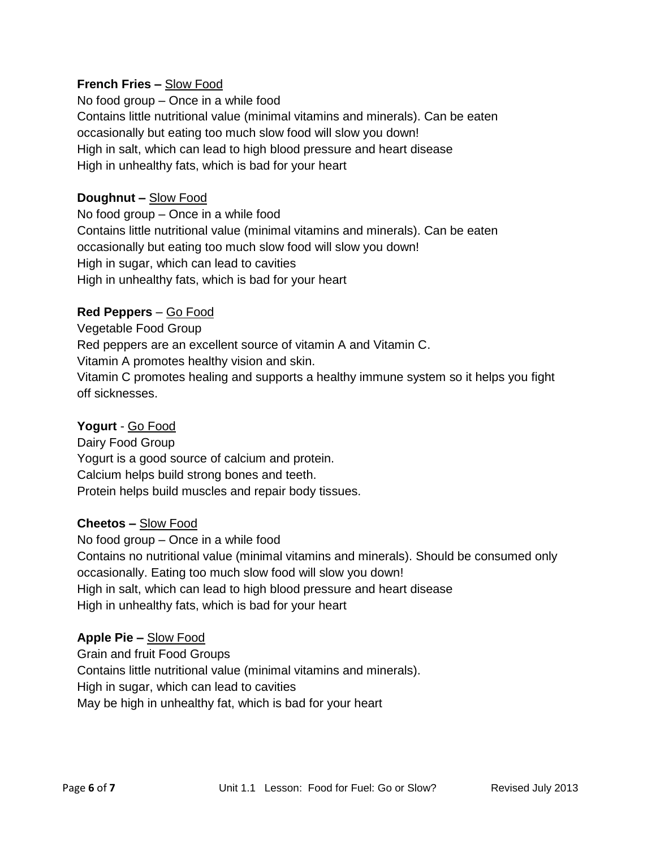# **French Fries –** Slow Food

No food group – Once in a while food Contains little nutritional value (minimal vitamins and minerals). Can be eaten occasionally but eating too much slow food will slow you down! High in salt, which can lead to high blood pressure and heart disease High in unhealthy fats, which is bad for your heart

#### **Doughnut –** Slow Food

No food group – Once in a while food Contains little nutritional value (minimal vitamins and minerals). Can be eaten occasionally but eating too much slow food will slow you down! High in sugar, which can lead to cavities High in unhealthy fats, which is bad for your heart

#### **Red Peppers** – Go Food

Vegetable Food Group Red peppers are an excellent source of vitamin A and Vitamin C. Vitamin A promotes healthy vision and skin. Vitamin C promotes healing and supports a healthy immune system so it helps you fight off sicknesses.

#### **Yogurt** - Go Food

Dairy Food Group Yogurt is a good source of calcium and protein. Calcium helps build strong bones and teeth. Protein helps build muscles and repair body tissues.

#### **Cheetos –** Slow Food

No food group – Once in a while food Contains no nutritional value (minimal vitamins and minerals). Should be consumed only occasionally. Eating too much slow food will slow you down! High in salt, which can lead to high blood pressure and heart disease High in unhealthy fats, which is bad for your heart

#### **Apple Pie –** Slow Food

Grain and fruit Food Groups Contains little nutritional value (minimal vitamins and minerals). High in sugar, which can lead to cavities May be high in unhealthy fat, which is bad for your heart